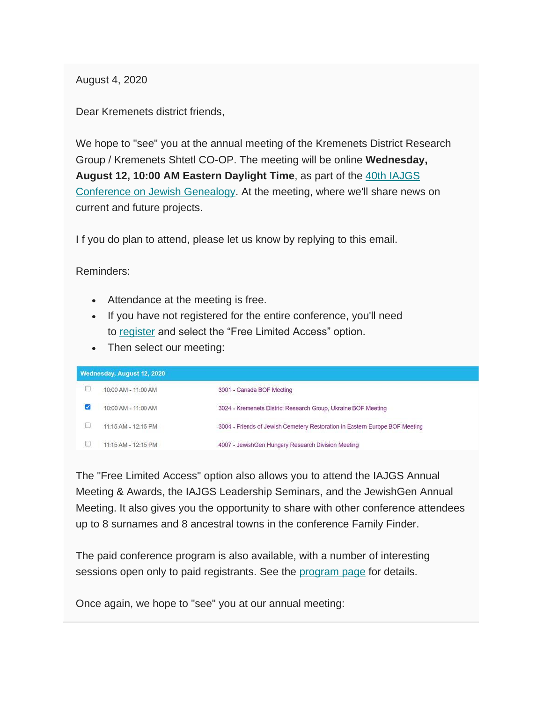August 4, 2020

Dear Kremenets district friends,

We hope to "see" you at the annual meeting of the Kremenets District Research Group / Kremenets Shtetl CO-OP. The meeting will be online **Wednesday, August 12, 10:00 AM Eastern Daylight Time**, as part of the [40th IAJGS](https://s4.goeshow.com/iajgs/annual/2020/index.cfm)  [Conference on Jewish Genealogy.](https://s4.goeshow.com/iajgs/annual/2020/index.cfm) At the meeting, where we'll share news on current and future projects.

If you do plan to attend, please let us know by replying to this email.

Reminders:

- Attendance at the meeting is free.
- If you have not registered for the entire conference, you'll need to [register](https://s4.goeshow.com/iajgs/annual/2020/registration_form.cfm) and select the "Free Limited Access" option.
- Then select our meeting:

| Wednesday, August 12, 2020 |                     |                                                                             |
|----------------------------|---------------------|-----------------------------------------------------------------------------|
|                            | 10:00 AM - 11:00 AM | 3001 - Canada BOF Meeting                                                   |
| И                          | 10:00 AM - 11:00 AM | 3024 - Kremenets District Research Group, Ukraine BOF Meeting               |
|                            | 11:15 AM - 12:15 PM | 3004 - Friends of Jewish Cemetery Restoration in Eastern Europe BOF Meeting |
|                            | 11:15 AM - 12:15 PM | 4007 - JewishGen Hungary Research Division Meeting                          |

The "Free Limited Access" option also allows you to attend the IAJGS Annual Meeting & Awards, the IAJGS Leadership Seminars, and the JewishGen Annual Meeting. It also gives you the opportunity to share with other conference attendees up to 8 surnames and 8 ancestral towns in the conference Family Finder.

The paid conference program is also available, with a number of interesting sessions open only to paid registrants. See the [program page](https://s4.goeshow.com/iajgs/annual/2020/program_schedule.cfm) for details.

Once again, we hope to "see" you at our annual meeting: